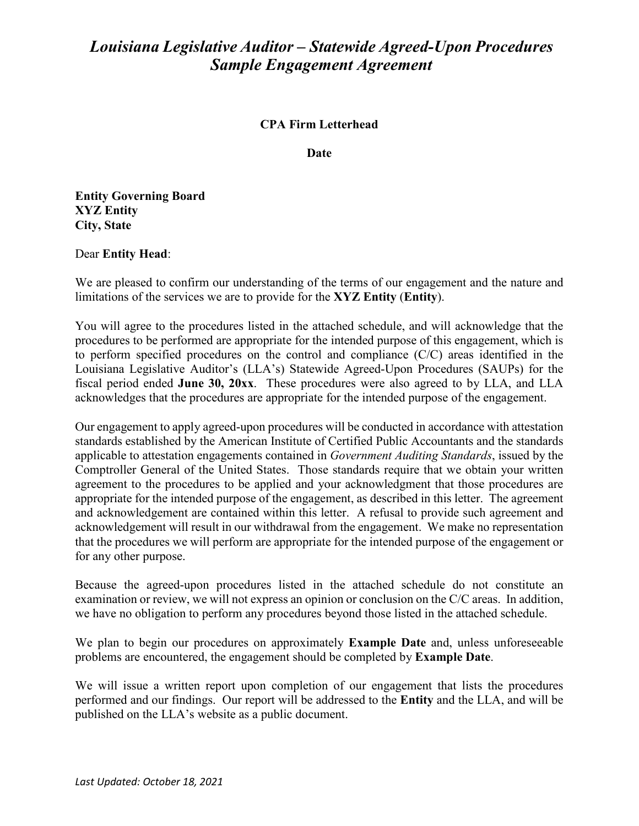## *Louisiana Legislative Auditor – Statewide Agreed-Upon Procedures Sample Engagement Agreement*

## **CPA Firm Letterhead**

**Date**

**Entity Governing Board XYZ Entity City, State**

## Dear **Entity Head**:

We are pleased to confirm our understanding of the terms of our engagement and the nature and limitations of the services we are to provide for the **XYZ Entity** (**Entity**).

You will agree to the procedures listed in the attached schedule, and will acknowledge that the procedures to be performed are appropriate for the intended purpose of this engagement, which is to perform specified procedures on the control and compliance (C/C) areas identified in the Louisiana Legislative Auditor's (LLA's) Statewide Agreed-Upon Procedures (SAUPs) for the fiscal period ended **June 30, 20xx**. These procedures were also agreed to by LLA, and LLA acknowledges that the procedures are appropriate for the intended purpose of the engagement.

Our engagement to apply agreed-upon procedures will be conducted in accordance with attestation standards established by the American Institute of Certified Public Accountants and the standards applicable to attestation engagements contained in *Government Auditing Standards*, issued by the Comptroller General of the United States. Those standards require that we obtain your written agreement to the procedures to be applied and your acknowledgment that those procedures are appropriate for the intended purpose of the engagement, as described in this letter. The agreement and acknowledgement are contained within this letter. A refusal to provide such agreement and acknowledgement will result in our withdrawal from the engagement. We make no representation that the procedures we will perform are appropriate for the intended purpose of the engagement or for any other purpose.

Because the agreed-upon procedures listed in the attached schedule do not constitute an examination or review, we will not express an opinion or conclusion on the C/C areas. In addition, we have no obligation to perform any procedures beyond those listed in the attached schedule.

We plan to begin our procedures on approximately **Example Date** and, unless unforeseeable problems are encountered, the engagement should be completed by **Example Date**.

We will issue a written report upon completion of our engagement that lists the procedures performed and our findings. Our report will be addressed to the **Entity** and the LLA, and will be published on the LLA's website as a public document.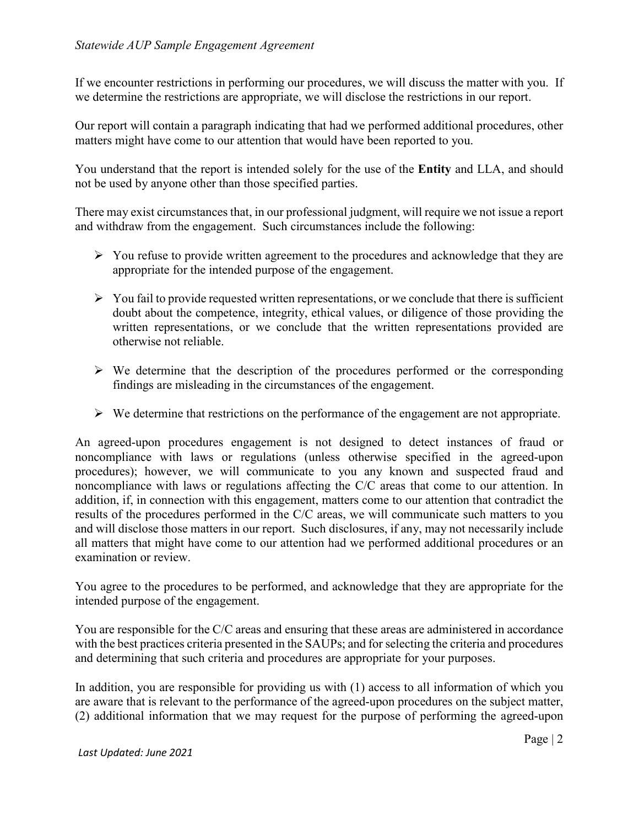If we encounter restrictions in performing our procedures, we will discuss the matter with you. If we determine the restrictions are appropriate, we will disclose the restrictions in our report.

Our report will contain a paragraph indicating that had we performed additional procedures, other matters might have come to our attention that would have been reported to you.

You understand that the report is intended solely for the use of the **Entity** and LLA, and should not be used by anyone other than those specified parties.

There may exist circumstances that, in our professional judgment, will require we not issue a report and withdraw from the engagement. Such circumstances include the following:

- $\triangleright$  You refuse to provide written agreement to the procedures and acknowledge that they are appropriate for the intended purpose of the engagement.
- $\triangleright$  You fail to provide requested written representations, or we conclude that there is sufficient doubt about the competence, integrity, ethical values, or diligence of those providing the written representations, or we conclude that the written representations provided are otherwise not reliable.
- $\triangleright$  We determine that the description of the procedures performed or the corresponding findings are misleading in the circumstances of the engagement.
- $\triangleright$  We determine that restrictions on the performance of the engagement are not appropriate.

An agreed-upon procedures engagement is not designed to detect instances of fraud or noncompliance with laws or regulations (unless otherwise specified in the agreed-upon procedures); however, we will communicate to you any known and suspected fraud and noncompliance with laws or regulations affecting the C/C areas that come to our attention. In addition, if, in connection with this engagement, matters come to our attention that contradict the results of the procedures performed in the C/C areas, we will communicate such matters to you and will disclose those matters in our report. Such disclosures, if any, may not necessarily include all matters that might have come to our attention had we performed additional procedures or an examination or review.

You agree to the procedures to be performed, and acknowledge that they are appropriate for the intended purpose of the engagement.

You are responsible for the C/C areas and ensuring that these areas are administered in accordance with the best practices criteria presented in the SAUPs; and for selecting the criteria and procedures and determining that such criteria and procedures are appropriate for your purposes.

In addition, you are responsible for providing us with (1) access to all information of which you are aware that is relevant to the performance of the agreed-upon procedures on the subject matter, (2) additional information that we may request for the purpose of performing the agreed-upon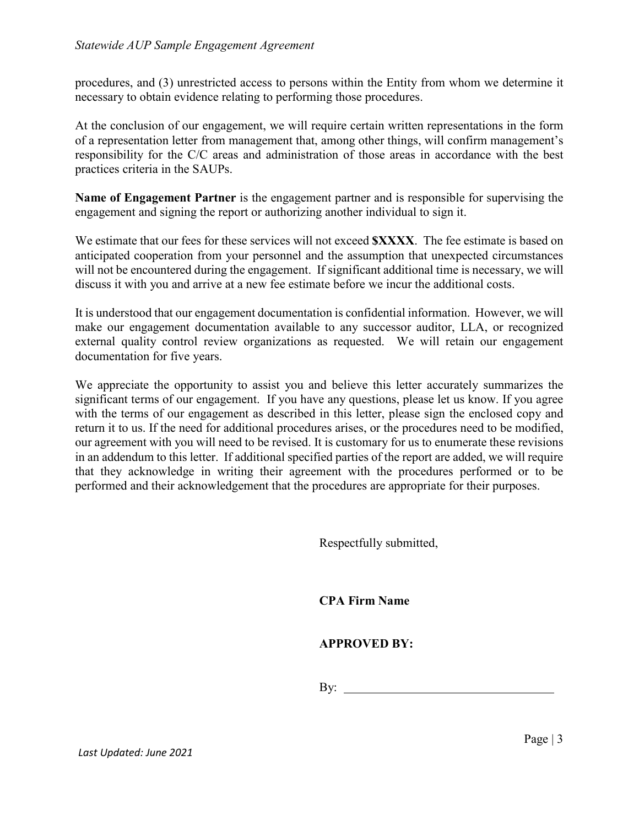procedures, and (3) unrestricted access to persons within the Entity from whom we determine it necessary to obtain evidence relating to performing those procedures.

At the conclusion of our engagement, we will require certain written representations in the form of a representation letter from management that, among other things, will confirm management's responsibility for the C/C areas and administration of those areas in accordance with the best practices criteria in the SAUPs.

**Name of Engagement Partner** is the engagement partner and is responsible for supervising the engagement and signing the report or authorizing another individual to sign it.

We estimate that our fees for these services will not exceed **\$XXXX**. The fee estimate is based on anticipated cooperation from your personnel and the assumption that unexpected circumstances will not be encountered during the engagement. If significant additional time is necessary, we will discuss it with you and arrive at a new fee estimate before we incur the additional costs.

It is understood that our engagement documentation is confidential information. However, we will make our engagement documentation available to any successor auditor, LLA, or recognized external quality control review organizations as requested. We will retain our engagement documentation for five years.

We appreciate the opportunity to assist you and believe this letter accurately summarizes the significant terms of our engagement. If you have any questions, please let us know. If you agree with the terms of our engagement as described in this letter, please sign the enclosed copy and return it to us. If the need for additional procedures arises, or the procedures need to be modified, our agreement with you will need to be revised. It is customary for us to enumerate these revisions in an addendum to this letter. If additional specified parties of the report are added, we will require that they acknowledge in writing their agreement with the procedures performed or to be performed and their acknowledgement that the procedures are appropriate for their purposes.

Respectfully submitted,

**CPA Firm Name**

**APPROVED BY:**

 $\mathbf{By:}$